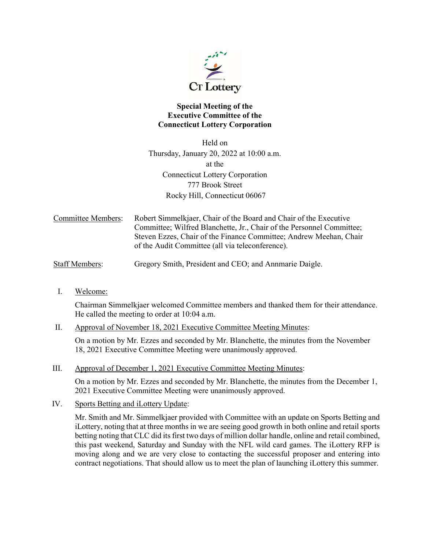

# **Special Meeting of the Executive Committee of the Connecticut Lottery Corporation**

Held on Thursday, January 20, 2022 at 10:00 a.m. at the Connecticut Lottery Corporation 777 Brook Street Rocky Hill, Connecticut 06067

Committee Members: Robert Simmelkjaer, Chair of the Board and Chair of the Executive Committee; Wilfred Blanchette, Jr., Chair of the Personnel Committee; Steven Ezzes, Chair of the Finance Committee; Andrew Meehan, Chair of the Audit Committee (all via teleconference).

Staff Members: Gregory Smith, President and CEO; and Annmarie Daigle.

I. Welcome:

Chairman Simmelkjaer welcomed Committee members and thanked them for their attendance. He called the meeting to order at 10:04 a.m.

II. Approval of November 18, 2021 Executive Committee Meeting Minutes:

On a motion by Mr. Ezzes and seconded by Mr. Blanchette, the minutes from the November 18, 2021 Executive Committee Meeting were unanimously approved.

III. Approval of December 1, 2021 Executive Committee Meeting Minutes:

On a motion by Mr. Ezzes and seconded by Mr. Blanchette, the minutes from the December 1, 2021 Executive Committee Meeting were unanimously approved.

IV. Sports Betting and iLottery Update:

Mr. Smith and Mr. Simmelkjaer provided with Committee with an update on Sports Betting and iLottery, noting that at three months in we are seeing good growth in both online and retail sports betting noting that CLC did its first two days of million dollar handle, online and retail combined, this past weekend, Saturday and Sunday with the NFL wild card games. The iLottery RFP is moving along and we are very close to contacting the successful proposer and entering into contract negotiations. That should allow us to meet the plan of launching iLottery this summer.